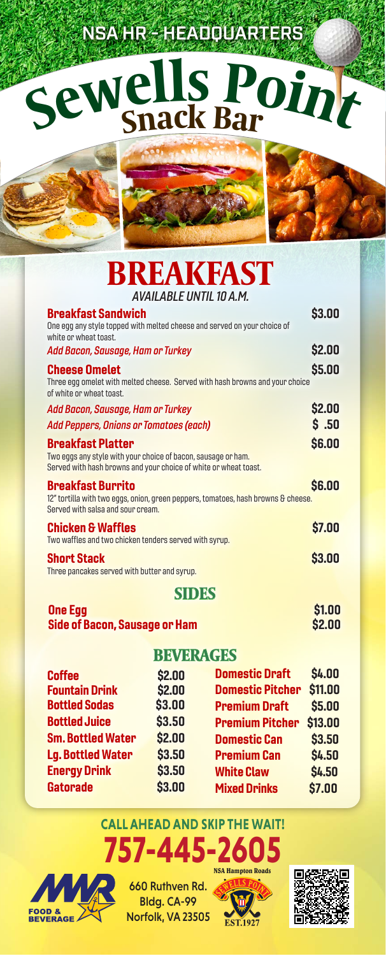# NSA HR - HEADQUARTERS

# **<sup>S</sup>ewell<sup>s</sup> <sup>P</sup>oin<sup>t</sup> Snack Ba<sup>r</sup>**



## **BREAKFAST**  $AVAII ABI E IINTII 10 A M$

| 1777282657111610831                                                                                                                                           |               |
|---------------------------------------------------------------------------------------------------------------------------------------------------------------|---------------|
| <b>Breakfast Sandwich</b><br>One egg any style topped with melted cheese and served on your choice of<br>white or wheat toast.                                | \$3.00        |
| Add Bacon, Sausage, Ham or Turkey                                                                                                                             | \$2.00        |
| <b>Cheese Omelet</b><br>Three egg omelet with melted cheese. Served with hash browns and your choice<br>of white or wheat toast.                              | \$5.00        |
| Add Bacon, Sausage, Ham or Turkey                                                                                                                             | \$2.00        |
| <b>Add Peppers, Onions or Tomatoes (each)</b>                                                                                                                 | \$.50         |
| <b>Breakfast Platter</b><br>Two eggs any style with your choice of bacon, sausage or ham.<br>Served with hash browns and your choice of white or wheat toast. | \$6.00        |
| <b>Breakfast Burrito</b><br>12" tortilla with two eggs, onion, green peppers, tomatoes, hash browns & cheese.<br>Served with salsa and sour cream.            | <b>S6.00</b>  |
| <b>Chicken &amp; Waffles</b><br>Two waffles and two chicken tenders served with syrup.                                                                        | \$7.00        |
| <b>Short Stack</b><br>Three pancakes served with butter and syrup.                                                                                            | <b>\$3.00</b> |
|                                                                                                                                                               |               |

#### **One Egg** Side of Bacon, Sausage or Ham

| \$1.00 |  |
|--------|--|
| \$2.00 |  |

### **BEVERAGES**

| <b>Coffee</b>            | \$2.00 | <b>Domestic Draft</b>   | <b>\$4.00</b> |
|--------------------------|--------|-------------------------|---------------|
| <b>Fountain Drink</b>    | \$2.00 | <b>Domestic Pitcher</b> | \$11.00       |
| <b>Bottled Sodas</b>     | \$3.00 | <b>Premium Draft</b>    | \$5.00        |
| <b>Bottled Juice</b>     | \$3.50 | <b>Premium Pitcher</b>  | \$13.00       |
| <b>Sm. Bottled Water</b> | \$2.00 | <b>Domestic Can</b>     | \$3.50        |
| <b>Lg. Bottled Water</b> | \$3.50 | <b>Premium Can</b>      | <b>\$4.50</b> |
| <b>Energy Drink</b>      | \$3.50 | <b>White Claw</b>       | <b>\$4.50</b> |
| <b>Gatorade</b>          | \$3.00 | <b>Mixed Drinks</b>     | \$7.00        |
|                          |        |                         |               |

## **CALL AHEAD AND SKIP THE WAIT! 757-445-2605**



660 Ruthven Rd. Bldg. CA-99 Norfolk, VA 23505